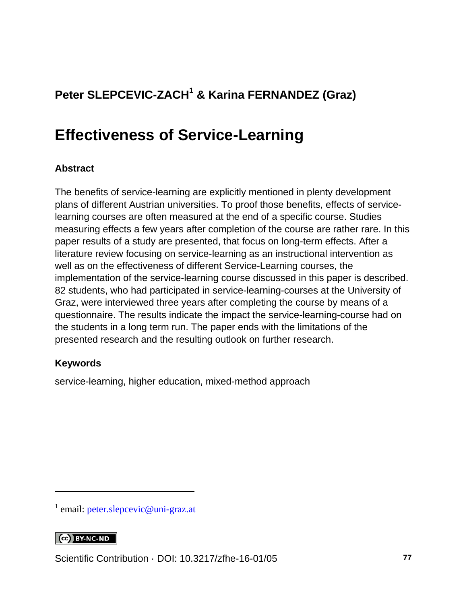## **Peter SLEPCEVIC-ZACH<sup>1</sup> & Karina FERNANDEZ (Graz)**

## **Effectiveness of Service-Learning**

### **Abstract**

The benefits of service-learning are explicitly mentioned in plenty development plans of different Austrian universities. To proof those benefits, effects of servicelearning courses are often measured at the end of a specific course. Studies measuring effects a few years after completion of the course are rather rare. In this paper results of a study are presented, that focus on long-term effects. After a literature review focusing on service-learning as an instructional intervention as well as on the effectiveness of different Service-Learning courses, the implementation of the service-learning course discussed in this paper is described. 82 students, who had participated in service-learning-courses at the University of Graz, were interviewed three years after completing the course by means of a questionnaire. The results indicate the impact the service-learning-course had on the students in a long term run. The paper ends with the limitations of the presented research and the resulting outlook on further research.

### **Keywords**

service-learning, higher education, mixed-method approach

#### CC BY-NC-ND

l

Scientific Contribution · DOI: [10.3217/zfhe-16-01/05](https://doi.org/10.3217/zfhe-16-01/05) **77**

<sup>&</sup>lt;sup>1</sup> email: [peter.slepcevic@uni-graz.at](mailto:peter.slepcevic@uni-graz.at)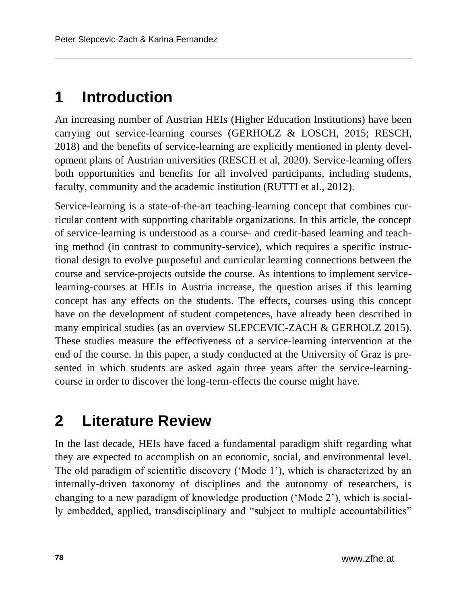# **1 Introduction**

An increasing number of Austrian HEIs (Higher Education Institutions) have been carrying out service-learning courses (GERHOLZ & LOSCH, 2015; RESCH, 2018) and the benefits of service-learning are explicitly mentioned in plenty development plans of Austrian universities (RESCH et al, 2020). Service-learning offers both opportunities and benefits for all involved participants, including students, faculty, community and the academic institution (RUTTI et al., 2012).

Service-learning is a state-of-the-art teaching-learning concept that combines curricular content with supporting charitable organizations. In this article, the concept of service-learning is understood as a course- and credit-based learning and teaching method (in contrast to community-service), which requires a specific instructional design to evolve purposeful and curricular learning connections between the course and service-projects outside the course. As intentions to implement servicelearning-courses at HEIs in Austria increase, the question arises if this learning concept has any effects on the students. The effects, courses using this concept have on the development of student competences, have already been described in many empirical studies (as an overview SLEPCEVIC-ZACH & GERHOLZ 2015). These studies measure the effectiveness of a service-learning intervention at the end of the course. In this paper, a study conducted at the University of Graz is presented in which students are asked again three years after the service-learningcourse in order to discover the long-term-effects the course might have.

# **2 Literature Review**

In the last decade, HEIs have faced a fundamental paradigm shift regarding what they are expected to accomplish on an economic, social, and environmental level. The old paradigm of scientific discovery ('Mode 1'), which is characterized by an internally-driven taxonomy of disciplines and the autonomy of researchers, is changing to a new paradigm of knowledge production ('Mode 2'), which is socially embedded, applied, transdisciplinary and "subject to multiple accountabilities"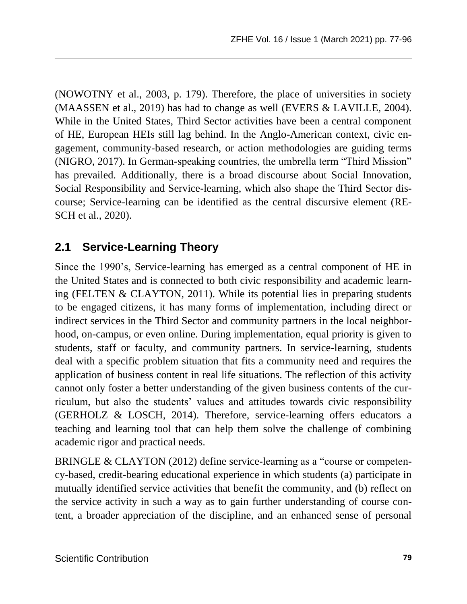(NOWOTNY et al., 2003, p. 179). Therefore, the place of universities in society (MAASSEN et al., 2019) has had to change as well (EVERS & LAVILLE, 2004). While in the United States, Third Sector activities have been a central component of HE, European HEIs still lag behind. In the Anglo-American context, civic engagement, community-based research, or action methodologies are guiding terms (NIGRO, 2017). In German-speaking countries, the umbrella term "Third Mission" has prevailed. Additionally, there is a broad discourse about Social Innovation, Social Responsibility and Service-learning, which also shape the Third Sector discourse; Service-learning can be identified as the central discursive element (RE-SCH et al., 2020).

## **2.1 Service-Learning Theory**

Since the 1990's, Service-learning has emerged as a central component of HE in the United States and is connected to both civic responsibility and academic learning (FELTEN & CLAYTON, 2011). While its potential lies in preparing students to be engaged citizens, it has many forms of implementation, including direct or indirect services in the Third Sector and community partners in the local neighborhood, on-campus, or even online. During implementation, equal priority is given to students, staff or faculty, and community partners. In service-learning, students deal with a specific problem situation that fits a community need and requires the application of business content in real life situations. The reflection of this activity cannot only foster a better understanding of the given business contents of the curriculum, but also the students' values and attitudes towards civic responsibility (GERHOLZ & LOSCH, 2014). Therefore, service-learning offers educators a teaching and learning tool that can help them solve the challenge of combining academic rigor and practical needs.

BRINGLE & CLAYTON (2012) define service-learning as a "course or competency-based, credit-bearing educational experience in which students (a) participate in mutually identified service activities that benefit the community, and (b) reflect on the service activity in such a way as to gain further understanding of course content, a broader appreciation of the discipline, and an enhanced sense of personal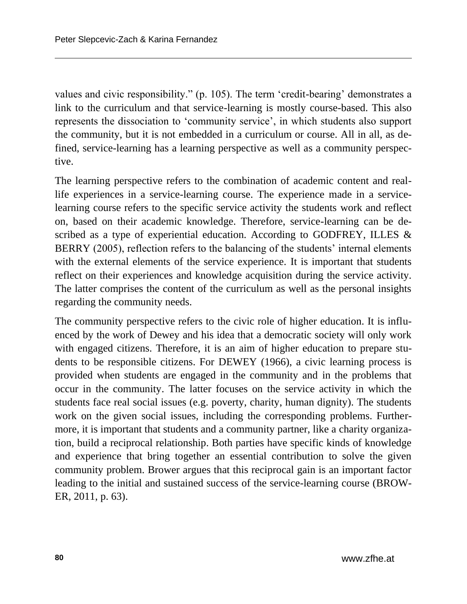values and civic responsibility." (p. 105). The term 'credit-bearing' demonstrates a link to the curriculum and that service-learning is mostly course-based. This also represents the dissociation to 'community service', in which students also support the community, but it is not embedded in a curriculum or course. All in all, as defined, service-learning has a learning perspective as well as a community perspective.

The learning perspective refers to the combination of academic content and reallife experiences in a service-learning course. The experience made in a servicelearning course refers to the specific service activity the students work and reflect on, based on their academic knowledge. Therefore, service-learning can be described as a type of experiential education. According to GODFREY, ILLES & BERRY (2005), reflection refers to the balancing of the students' internal elements with the external elements of the service experience. It is important that students reflect on their experiences and knowledge acquisition during the service activity. The latter comprises the content of the curriculum as well as the personal insights regarding the community needs.

The community perspective refers to the civic role of higher education. It is influenced by the work of Dewey and his idea that a democratic society will only work with engaged citizens. Therefore, it is an aim of higher education to prepare students to be responsible citizens. For DEWEY (1966), a civic learning process is provided when students are engaged in the community and in the problems that occur in the community. The latter focuses on the service activity in which the students face real social issues (e.g. poverty, charity, human dignity). The students work on the given social issues, including the corresponding problems. Furthermore, it is important that students and a community partner, like a charity organization, build a reciprocal relationship. Both parties have specific kinds of knowledge and experience that bring together an essential contribution to solve the given community problem. Brower argues that this reciprocal gain is an important factor leading to the initial and sustained success of the service-learning course (BROW-ER, 2011, p. 63).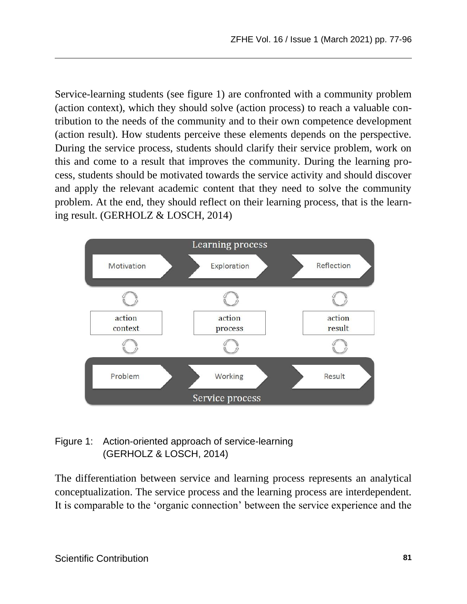Service-learning students (see figure 1) are confronted with a community problem (action context), which they should solve (action process) to reach a valuable contribution to the needs of the community and to their own competence development (action result). How students perceive these elements depends on the perspective. During the service process, students should clarify their service problem, work on this and come to a result that improves the community. During the learning process, students should be motivated towards the service activity and should discover and apply the relevant academic content that they need to solve the community problem. At the end, they should reflect on their learning process, that is the learning result. (GERHOLZ & LOSCH, 2014)



### Figure 1: Action-oriented approach of service-learning (GERHOLZ & LOSCH, 2014)

The differentiation between service and learning process represents an analytical conceptualization. The service process and the learning process are interdependent. It is comparable to the 'organic connection' between the service experience and the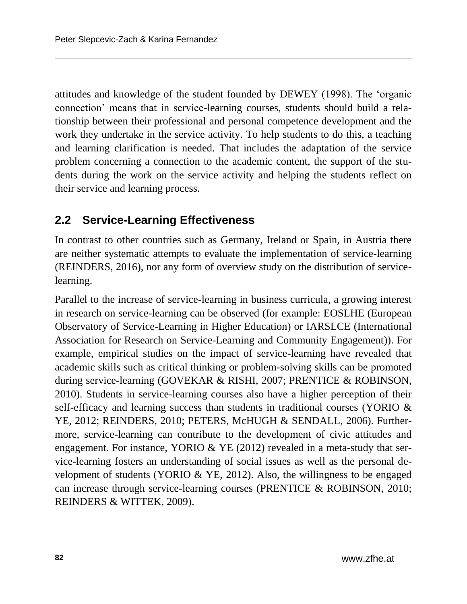attitudes and knowledge of the student founded by DEWEY (1998). The 'organic connection' means that in service-learning courses, students should build a relationship between their professional and personal competence development and the work they undertake in the service activity. To help students to do this, a teaching and learning clarification is needed. That includes the adaptation of the service problem concerning a connection to the academic content, the support of the students during the work on the service activity and helping the students reflect on their service and learning process.

### **2.2 Service-Learning Effectiveness**

In contrast to other countries such as Germany, Ireland or Spain, in Austria there are neither systematic attempts to evaluate the implementation of service-learning (REINDERS, 2016), nor any form of overview study on the distribution of servicelearning.

Parallel to the increase of service-learning in business curricula, a growing interest in research on service-learning can be observed (for example: EOSLHE (European Observatory of Service-Learning in Higher Education) or IARSLCE (International Association for Research on Service-Learning and Community Engagement)). For example, empirical studies on the impact of service-learning have revealed that academic skills such as critical thinking or problem-solving skills can be promoted during service-learning (GOVEKAR & RISHI, 2007; PRENTICE & ROBINSON, 2010). Students in service-learning courses also have a higher perception of their self-efficacy and learning success than students in traditional courses (YORIO & YE, 2012; REINDERS, 2010; PETERS, McHUGH & SENDALL, 2006). Furthermore, service-learning can contribute to the development of civic attitudes and engagement. For instance, YORIO & YE (2012) revealed in a meta-study that service-learning fosters an understanding of social issues as well as the personal development of students (YORIO & YE, 2012). Also, the willingness to be engaged can increase through service-learning courses (PRENTICE & ROBINSON, 2010; REINDERS & WITTEK, 2009).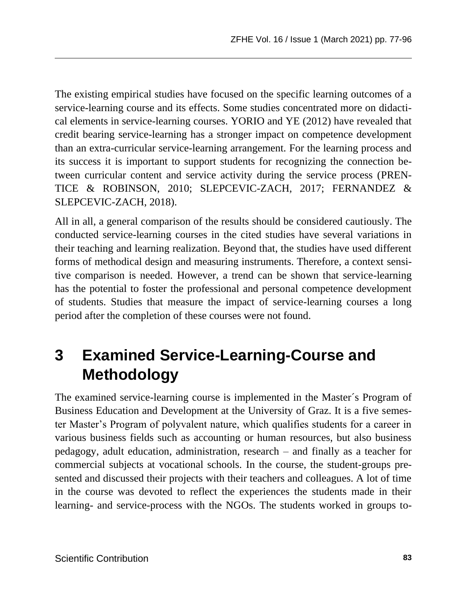The existing empirical studies have focused on the specific learning outcomes of a service-learning course and its effects. Some studies concentrated more on didactical elements in service-learning courses. YORIO and YE (2012) have revealed that credit bearing service-learning has a stronger impact on competence development than an extra-curricular service-learning arrangement. For the learning process and its success it is important to support students for recognizing the connection between curricular content and service activity during the service process (PREN-TICE & ROBINSON, 2010; SLEPCEVIC-ZACH, 2017; FERNANDEZ & SLEPCEVIC-ZACH, 2018).

All in all, a general comparison of the results should be considered cautiously. The conducted service-learning courses in the cited studies have several variations in their teaching and learning realization. Beyond that, the studies have used different forms of methodical design and measuring instruments. Therefore, a context sensitive comparison is needed. However, a trend can be shown that service-learning has the potential to foster the professional and personal competence development of students. Studies that measure the impact of service-learning courses a long period after the completion of these courses were not found.

# **3 Examined Service-Learning-Course and Methodology**

The examined service-learning course is implemented in the Master´s Program of Business Education and Development at the University of Graz. It is a five semester Master's Program of polyvalent nature, which qualifies students for a career in various business fields such as accounting or human resources, but also business pedagogy, adult education, administration, research – and finally as a teacher for commercial subjects at vocational schools. In the course, the student-groups presented and discussed their projects with their teachers and colleagues. A lot of time in the course was devoted to reflect the experiences the students made in their learning- and service-process with the NGOs. The students worked in groups to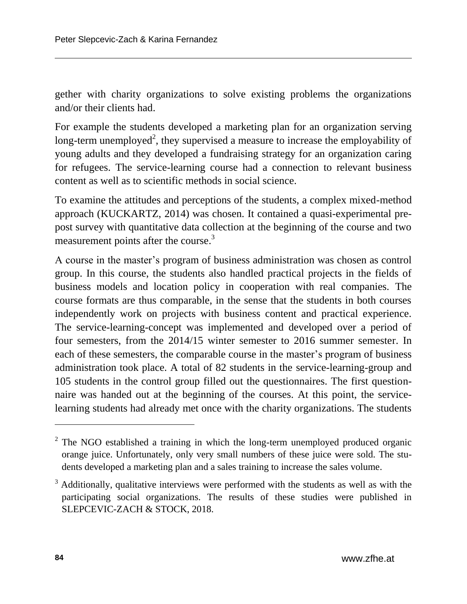gether with charity organizations to solve existing problems the organizations and/or their clients had.

For example the students developed a marketing plan for an organization serving long-term unemployed<sup>2</sup>, they supervised a measure to increase the employability of young adults and they developed a fundraising strategy for an organization caring for refugees. The service-learning course had a connection to relevant business content as well as to scientific methods in social science.

To examine the attitudes and perceptions of the students, a complex mixed-method approach (KUCKARTZ, 2014) was chosen. It contained a quasi-experimental prepost survey with quantitative data collection at the beginning of the course and two measurement points after the course.<sup>3</sup>

A course in the master's program of business administration was chosen as control group. In this course, the students also handled practical projects in the fields of business models and location policy in cooperation with real companies. The course formats are thus comparable, in the sense that the students in both courses independently work on projects with business content and practical experience. The service-learning-concept was implemented and developed over a period of four semesters, from the 2014/15 winter semester to 2016 summer semester. In each of these semesters, the comparable course in the master's program of business administration took place. A total of 82 students in the service-learning-group and 105 students in the control group filled out the questionnaires. The first questionnaire was handed out at the beginning of the courses. At this point, the servicelearning students had already met once with the charity organizations. The students

l

<sup>&</sup>lt;sup>2</sup> The NGO established a training in which the long-term unemployed produced organic orange juice. Unfortunately, only very small numbers of these juice were sold. The students developed a marketing plan and a sales training to increase the sales volume.

<sup>&</sup>lt;sup>3</sup> Additionally, qualitative interviews were performed with the students as well as with the participating social organizations. The results of these studies were published in SLEPCEVIC-ZACH & STOCK, 2018.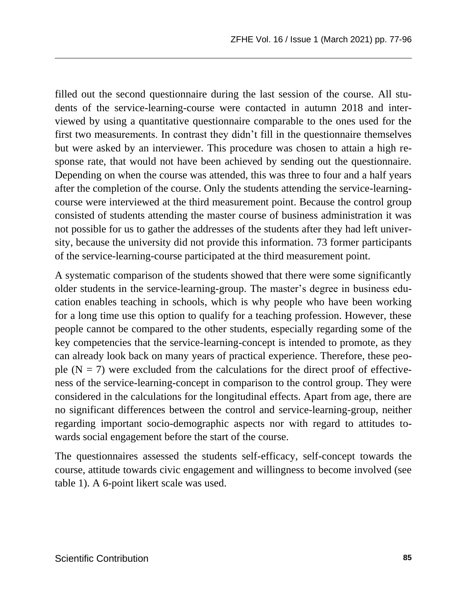filled out the second questionnaire during the last session of the course. All students of the service-learning-course were contacted in autumn 2018 and interviewed by using a quantitative questionnaire comparable to the ones used for the first two measurements. In contrast they didn't fill in the questionnaire themselves but were asked by an interviewer. This procedure was chosen to attain a high response rate, that would not have been achieved by sending out the questionnaire. Depending on when the course was attended, this was three to four and a half years after the completion of the course. Only the students attending the service-learningcourse were interviewed at the third measurement point. Because the control group consisted of students attending the master course of business administration it was not possible for us to gather the addresses of the students after they had left university, because the university did not provide this information. 73 former participants of the service-learning-course participated at the third measurement point.

A systematic comparison of the students showed that there were some significantly older students in the service-learning-group. The master's degree in business education enables teaching in schools, which is why people who have been working for a long time use this option to qualify for a teaching profession. However, these people cannot be compared to the other students, especially regarding some of the key competencies that the service-learning-concept is intended to promote, as they can already look back on many years of practical experience. Therefore, these people  $(N = 7)$  were excluded from the calculations for the direct proof of effectiveness of the service-learning-concept in comparison to the control group. They were considered in the calculations for the longitudinal effects. Apart from age, there are no significant differences between the control and service-learning-group, neither regarding important socio-demographic aspects nor with regard to attitudes towards social engagement before the start of the course.

The questionnaires assessed the students self-efficacy, self-concept towards the course, attitude towards civic engagement and willingness to become involved (see table 1). A 6-point likert scale was used.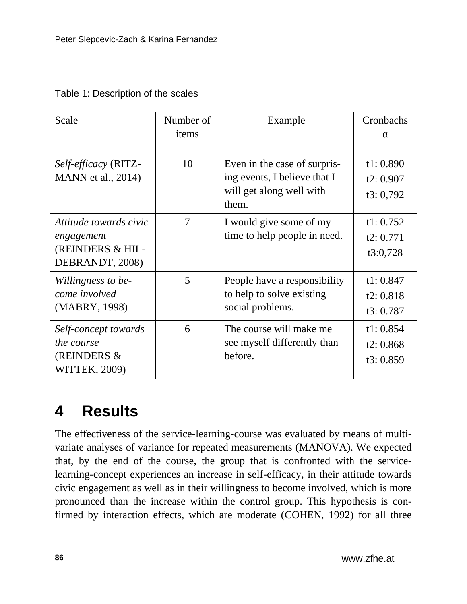| Table 1: Description of the scales |
|------------------------------------|
|------------------------------------|

| Scale                                                                       | Number of<br>items | Example                                                                                           | Cronbachs<br>$\alpha$                |
|-----------------------------------------------------------------------------|--------------------|---------------------------------------------------------------------------------------------------|--------------------------------------|
| Self-efficacy (RITZ-<br>MANN et al., 2014)                                  | 10                 | Even in the case of surpris-<br>ing events, I believe that I<br>will get along well with<br>them. | t1:0.890<br>t2: $0.907$<br>t3: 0,792 |
| Attitude towards civic<br>engagement<br>(REINDERS & HIL-<br>DEBRANDT, 2008) | $\overline{7}$     | I would give some of my<br>time to help people in need.                                           | t1: 0.752<br>t2: $0.771$<br>t3:0,728 |
| Willingness to be-<br>come involved<br>(MABRY, 1998)                        | 5                  | People have a responsibility<br>to help to solve existing<br>social problems.                     | t1:0.847<br>t2:0.818<br>t3:0.787     |
| Self-concept towards<br><i>the course</i><br>(REINDERS $&$<br>WITTEK, 2009) | 6                  | The course will make me<br>see myself differently than<br>before.                                 | t1: $0.854$<br>t2:0.868<br>t3:0.859  |

## **4 Results**

The effectiveness of the service-learning-course was evaluated by means of multivariate analyses of variance for repeated measurements (MANOVA). We expected that, by the end of the course, the group that is confronted with the servicelearning-concept experiences an increase in self-efficacy, in their attitude towards civic engagement as well as in their willingness to become involved, which is more pronounced than the increase within the control group. This hypothesis is confirmed by interaction effects, which are moderate (COHEN, 1992) for all three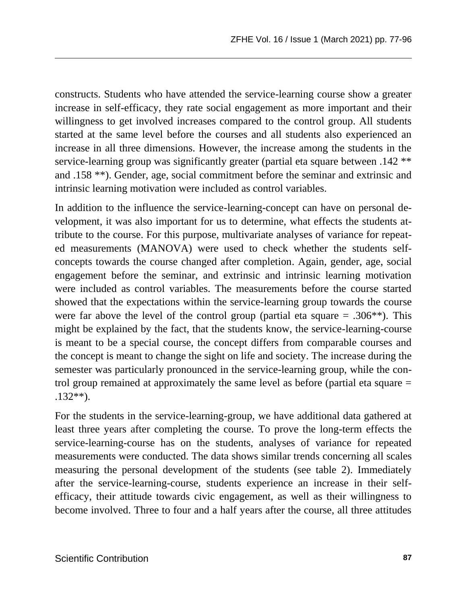constructs. Students who have attended the service-learning course show a greater increase in self-efficacy, they rate social engagement as more important and their willingness to get involved increases compared to the control group. All students started at the same level before the courses and all students also experienced an increase in all three dimensions. However, the increase among the students in the service-learning group was significantly greater (partial eta square between .142 \*\* and .158 \*\*). Gender, age, social commitment before the seminar and extrinsic and intrinsic learning motivation were included as control variables.

In addition to the influence the service-learning-concept can have on personal development, it was also important for us to determine, what effects the students attribute to the course. For this purpose, multivariate analyses of variance for repeated measurements (MANOVA) were used to check whether the students selfconcepts towards the course changed after completion. Again, gender, age, social engagement before the seminar, and extrinsic and intrinsic learning motivation were included as control variables. The measurements before the course started showed that the expectations within the service-learning group towards the course were far above the level of the control group (partial eta square  $= .306**$ ). This might be explained by the fact, that the students know, the service-learning-course is meant to be a special course, the concept differs from comparable courses and the concept is meant to change the sight on life and society. The increase during the semester was particularly pronounced in the service-learning group, while the control group remained at approximately the same level as before (partial eta square = .132\*\*).

For the students in the service-learning-group, we have additional data gathered at least three years after completing the course. To prove the long-term effects the service-learning-course has on the students, analyses of variance for repeated measurements were conducted. The data shows similar trends concerning all scales measuring the personal development of the students (see table 2). Immediately after the service-learning-course, students experience an increase in their selfefficacy, their attitude towards civic engagement, as well as their willingness to become involved. Three to four and a half years after the course, all three attitudes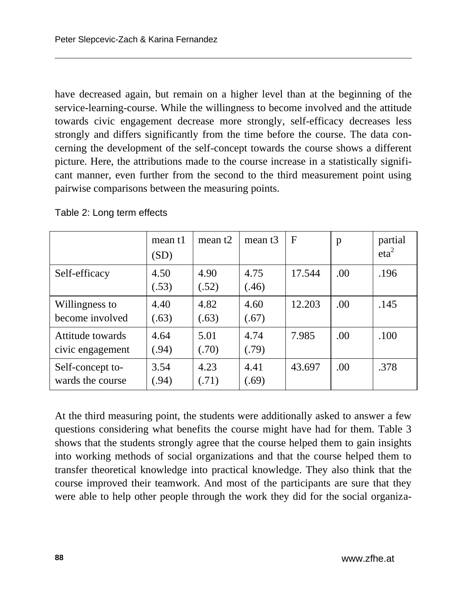have decreased again, but remain on a higher level than at the beginning of the service-learning-course. While the willingness to become involved and the attitude towards civic engagement decrease more strongly, self-efficacy decreases less strongly and differs significantly from the time before the course. The data concerning the development of the self-concept towards the course shows a different picture. Here, the attributions made to the course increase in a statistically significant manner, even further from the second to the third measurement point using pairwise comparisons between the measuring points.

|                                      | mean t1<br>(SD) | mean $t2$     | mean $t3$     | F      | p    | partial<br>eta <sup>2</sup> |
|--------------------------------------|-----------------|---------------|---------------|--------|------|-----------------------------|
| Self-efficacy                        | 4.50<br>(.53)   | 4.90<br>(.52) | 4.75<br>(.46) | 17.544 | .00  | .196                        |
| Willingness to<br>become involved    | 4.40<br>(.63)   | 4.82<br>(.63) | 4.60<br>(.67) | 12.203 | .00  | .145                        |
| Attitude towards<br>civic engagement | 4.64<br>(.94)   | 5.01<br>(.70) | 4.74<br>(.79) | 7.985  | .00. | .100                        |
| Self-concept to-<br>wards the course | 3.54<br>(.94)   | 4.23<br>(.71) | 4.41<br>(.69) | 43.697 | .00  | .378                        |

Table 2: Long term effects

At the third measuring point, the students were additionally asked to answer a few questions considering what benefits the course might have had for them. Table 3 shows that the students strongly agree that the course helped them to gain insights into working methods of social organizations and that the course helped them to transfer theoretical knowledge into practical knowledge. They also think that the course improved their teamwork. And most of the participants are sure that they were able to help other people through the work they did for the social organiza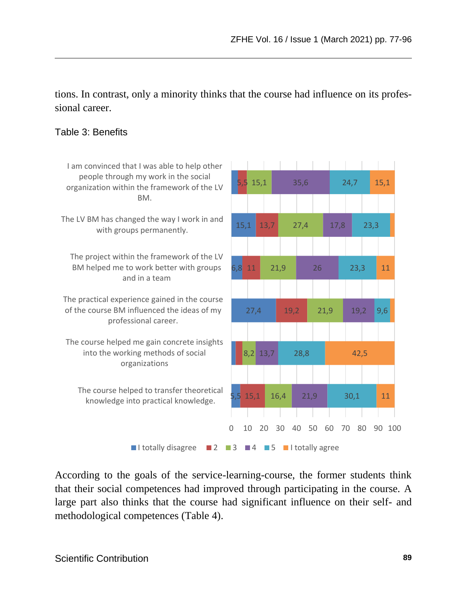tions. In contrast, only a minority thinks that the course had influence on its professional career.

#### Table 3: Benefits



According to the goals of the service-learning-course, the former students think that their social competences had improved through participating in the course. A large part also thinks that the course had significant influence on their self- and methodological competences (Table 4).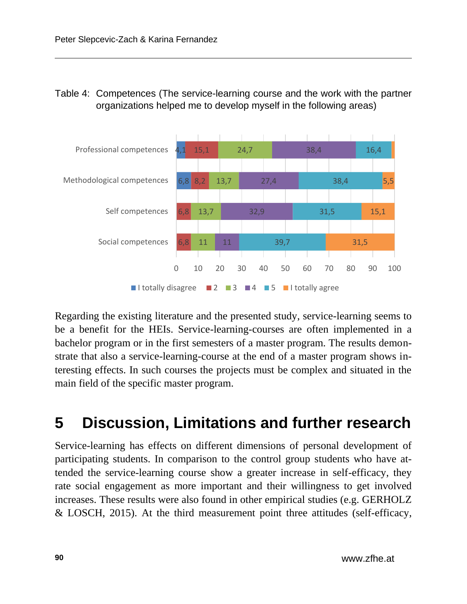### Table 4: Competences (The service-learning course and the work with the partner organizations helped me to develop myself in the following areas)



Regarding the existing literature and the presented study, service-learning seems to be a benefit for the HEIs. Service-learning-courses are often implemented in a bachelor program or in the first semesters of a master program. The results demonstrate that also a service-learning-course at the end of a master program shows interesting effects. In such courses the projects must be complex and situated in the main field of the specific master program.

# **5 Discussion, Limitations and further research**

Service-learning has effects on different dimensions of personal development of participating students. In comparison to the control group students who have attended the service-learning course show a greater increase in self-efficacy, they rate social engagement as more important and their willingness to get involved increases. These results were also found in other empirical studies (e.g. GERHOLZ & LOSCH, 2015). At the third measurement point three attitudes (self-efficacy,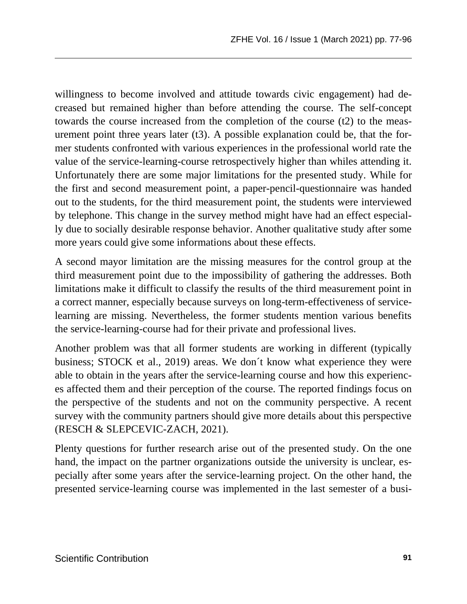willingness to become involved and attitude towards civic engagement) had decreased but remained higher than before attending the course. The self-concept towards the course increased from the completion of the course (t2) to the measurement point three years later  $(t3)$ . A possible explanation could be, that the former students confronted with various experiences in the professional world rate the value of the service-learning-course retrospectively higher than whiles attending it. Unfortunately there are some major limitations for the presented study. While for the first and second measurement point, a paper-pencil-questionnaire was handed out to the students, for the third measurement point, the students were interviewed by telephone. This change in the survey method might have had an effect especially due to socially desirable response behavior. Another qualitative study after some more years could give some informations about these effects.

A second mayor limitation are the missing measures for the control group at the third measurement point due to the impossibility of gathering the addresses. Both limitations make it difficult to classify the results of the third measurement point in a correct manner, especially because surveys on long-term-effectiveness of servicelearning are missing. Nevertheless, the former students mention various benefits the service-learning-course had for their private and professional lives.

Another problem was that all former students are working in different (typically business; STOCK et al., 2019) areas. We don´t know what experience they were able to obtain in the years after the service-learning course and how this experiences affected them and their perception of the course. The reported findings focus on the perspective of the students and not on the community perspective. A recent survey with the community partners should give more details about this perspective (RESCH & SLEPCEVIC-ZACH, 2021).

Plenty questions for further research arise out of the presented study. On the one hand, the impact on the partner organizations outside the university is unclear, especially after some years after the service-learning project. On the other hand, the presented service-learning course was implemented in the last semester of a busi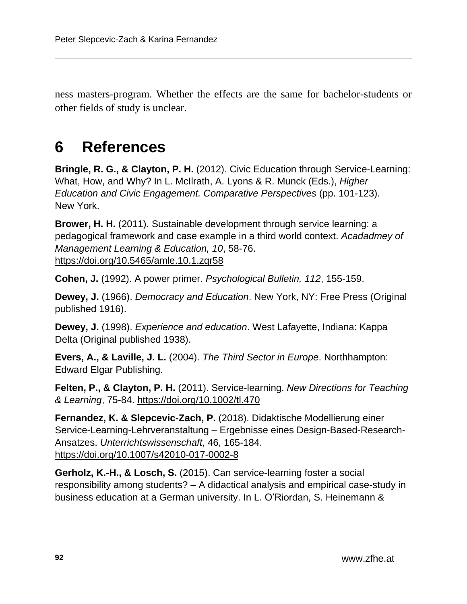ness masters-program. Whether the effects are the same for bachelor-students or other fields of study is unclear.

## **6 References**

**Bringle, R. G., & Clayton, P. H.** (2012). Civic Education through Service-Learning: What, How, and Why? In L. McIlrath, A. Lyons & R. Munck (Eds.), *Higher Education and Civic Engagement. Comparative Perspectives* (pp. 101-123). New York.

**Brower, H. H.** (2011). Sustainable development through service learning: a pedagogical framework and case example in a third world context. *Acadadmey of Management Learning & Education, 10*, 58-76. <https://doi.org/10.5465/amle.10.1.zqr58>

**Cohen, J.** (1992). A power primer. *Psychological Bulletin, 112*, 155-159.

**Dewey, J.** (1966). *Democracy and Education*. New York, NY: Free Press (Original published 1916).

**Dewey, J.** (1998). *Experience and education*. West Lafayette, Indiana: Kappa Delta (Original published 1938).

**Evers, A., & Laville, J. L.** (2004). *The Third Sector in Europe*. Northhampton: Edward Elgar Publishing.

**Felten, P., & Clayton, P. H.** (2011). Service-learning. *New Directions for Teaching & Learning*, 75-84.<https://doi.org/10.1002/tl.470>

**Fernandez, K. & Slepcevic-Zach, P.** (2018). Didaktische Modellierung einer Service-Learning-Lehrveranstaltung – Ergebnisse eines Design-Based-Research-Ansatzes. *Unterrichtswissenschaft*, 46, 165-184. <https://doi.org/10.1007/s42010-017-0002-8>

**Gerholz, K.-H., & Losch, S.** (2015). Can service-learning foster a social responsibility among students? – A didactical analysis and empirical case-study in business education at a German university. In L. O'Riordan, S. Heinemann &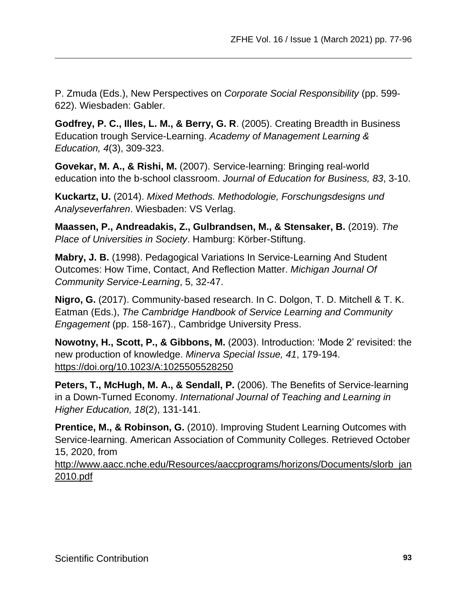P. Zmuda (Eds.), New Perspectives on *Corporate Social Responsibility* (pp. 599- 622). Wiesbaden: Gabler.

**Godfrey, P. C., Illes, L. M., & Berry, G. R**. (2005). Creating Breadth in Business Education trough Service-Learning. *Academy of Management Learning & Education, 4*(3), 309-323.

**Govekar, M. A., & Rishi, M.** (2007). Service-learning: Bringing real-world education into the b-school classroom. *Journal of Education for Business, 83*, 3-10.

**Kuckartz, U.** (2014). *Mixed Methods. Methodologie, Forschungsdesigns und Analyseverfahren*. Wiesbaden: VS Verlag.

**Maassen, P., Andreadakis, Z., Gulbrandsen, M., & Stensaker, B.** (2019). *The Place of Universities in Society*. Hamburg: Körber-Stiftung.

**Mabry, J. B.** (1998). Pedagogical Variations In Service-Learning And Student Outcomes: How Time, Contact, And Reflection Matter. *Michigan Journal Of Community Service-Learning*, 5, 32-47.

**Nigro, G.** (2017). Community-based research. In C. Dolgon, T. D. Mitchell & T. K. Eatman (Eds.), *The Cambridge Handbook of Service Learning and Community Engagement* (pp. 158-167)., Cambridge University Press.

**Nowotny, H., Scott, P., & Gibbons, M.** (2003). Introduction: 'Mode 2' revisited: the new production of knowledge. *Minerva Special Issue, 41*, 179-194. <https://doi.org/10.1023/A:1025505528250>

**Peters, T., McHugh, M. A., & Sendall, P.** (2006). The Benefits of Service-learning in a Down-Turned Economy. *International Journal of Teaching and Learning in Higher Education, 18*(2), 131-141.

**Prentice, M., & Robinson, G.** (2010). Improving Student Learning Outcomes with Service-learning. American Association of Community Colleges. Retrieved October 15, 2020, from

[http://www.aacc.nche.edu/Resources/aaccprograms/horizons/Documents/slorb\\_jan](http://www.aacc.nche.edu/Resources/aaccprograms/horizons/Documents/slorb_jan2010.pdf) [2010.pdf](http://www.aacc.nche.edu/Resources/aaccprograms/horizons/Documents/slorb_jan2010.pdf)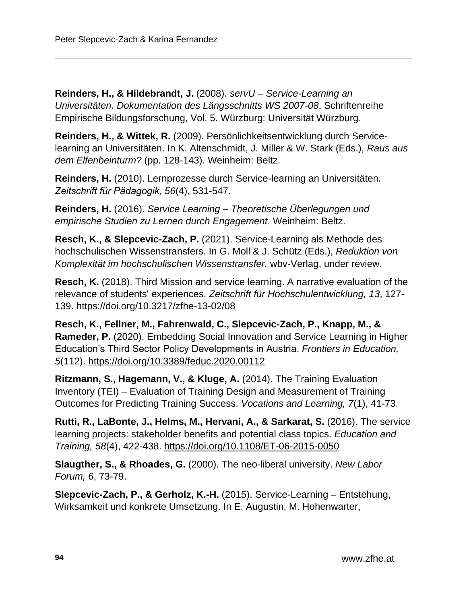**Reinders, H., & Hildebrandt, J.** (2008). *servU – Service-Learning an Universitäten. Dokumentation des Längsschnitts WS 2007-08*. Schriftenreihe Empirische Bildungsforschung, Vol. 5. Würzburg: Universität Würzburg.

**Reinders, H., & Wittek, R.** (2009). Persönlichkeitsentwicklung durch Servicelearning an Universitäten. In K. Altenschmidt, J. Miller & W. Stark (Eds.), *Raus aus dem Elfenbeinturm?* (pp. 128-143). Weinheim: Beltz.

**Reinders, H.** (2010). Lernprozesse durch Service-learning an Universitäten. *Zeitschrift für Pädagogik, 56*(4), 531-547.

**Reinders, H.** (2016). *Service Learning – Theoretische Überlegungen und empirische Studien zu Lernen durch Engagement*. Weinheim: Beltz.

**Resch, K., & Slepcevic-Zach, P.** (2021). Service-Learning als Methode des hochschulischen Wissenstransfers. In G. Moll & J. Schütz (Eds.), *Reduktion von Komplexität im hochschulischen Wissenstransfer.* wbv-Verlag, under review.

**Resch, K.** (2018). Third Mission and service learning. A narrative evaluation of the relevance of students' experiences. *Zeitschrift für Hochschulentwicklung, 13*, 127- 139.<https://doi.org/10.3217/zfhe-13-02/08>

**Resch, K., Fellner, M., Fahrenwald, C., Slepcevic-Zach, P., Knapp, M., & Rameder, P.** (2020). Embedding Social Innovation and Service Learning in Higher Education's Third Sector Policy Developments in Austria. *Frontiers in Education, 5*(112). <https://doi.org/10.3389/feduc.2020.00112>

**Ritzmann, S., Hagemann, V., & Kluge, A.** (2014). The Training Evaluation Inventory (TEI) – Evaluation of Training Design and Measurement of Training Outcomes for Predicting Training Success. *Vocations and Learning, 7*(1), 41-73.

**Rutti, R., LaBonte, J., Helms, M., Hervani, A., & Sarkarat, S.** (2016). The service learning projects: stakeholder benefits and potential class topics. *Education and Training, 58*(4), 422-438. <https://doi.org/10.1108/ET-06-2015-0050>

**Slaugther, S., & Rhoades, G.** (2000). The neo-liberal university. *New Labor Forum, 6*, 73-79.

**Slepcevic-Zach, P., & Gerholz, K.-H.** (2015). Service-Learning – Entstehung, Wirksamkeit und konkrete Umsetzung. In E. Augustin, M. Hohenwarter,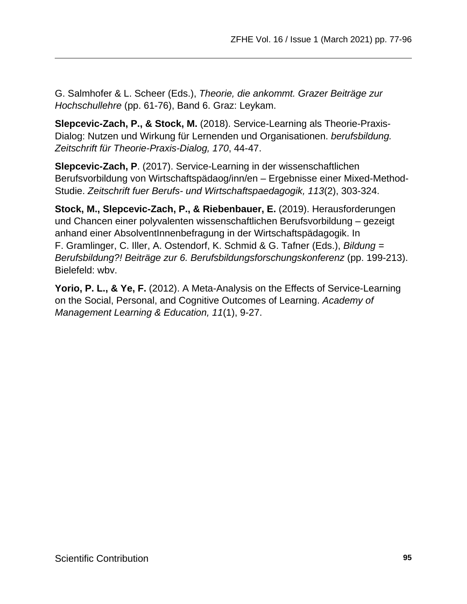G. Salmhofer & L. Scheer (Eds.), *Theorie, die ankommt. Grazer Beiträge zur Hochschullehre* (pp. 61-76), Band 6. Graz: Leykam.

**Slepcevic-Zach, P., & Stock, M.** (2018). Service-Learning als Theorie-Praxis-Dialog: Nutzen und Wirkung für Lernenden und Organisationen. *berufsbildung. Zeitschrift für Theorie-Praxis-Dialog, 170*, 44-47.

**Slepcevic-Zach, P**. (2017). Service-Learning in der wissenschaftlichen Berufsvorbildung von Wirtschaftspädaog/inn/en – Ergebnisse einer Mixed-Method-Studie. *Zeitschrift fuer Berufs- und Wirtschaftspaedagogik, 113*(2), 303-324.

**Stock, M., Slepcevic-Zach, P., & Riebenbauer, E.** (2019). Herausforderungen und Chancen einer polyvalenten wissenschaftlichen Berufsvorbildung – gezeigt anhand einer AbsolventInnenbefragung in der Wirtschaftspädagogik. In F. Gramlinger, C. Iller, A. Ostendorf, K. Schmid & G. Tafner (Eds.), *Bildung = Berufsbildung?! Beiträge zur 6. Berufsbildungsforschungskonferenz* (pp. 199-213). Bielefeld: wbv.

**Yorio, P. L., & Ye, F.** (2012). A Meta-Analysis on the Effects of Service-Learning on the Social, Personal, and Cognitive Outcomes of Learning. *Academy of Management Learning & Education, 11*(1), 9-27.